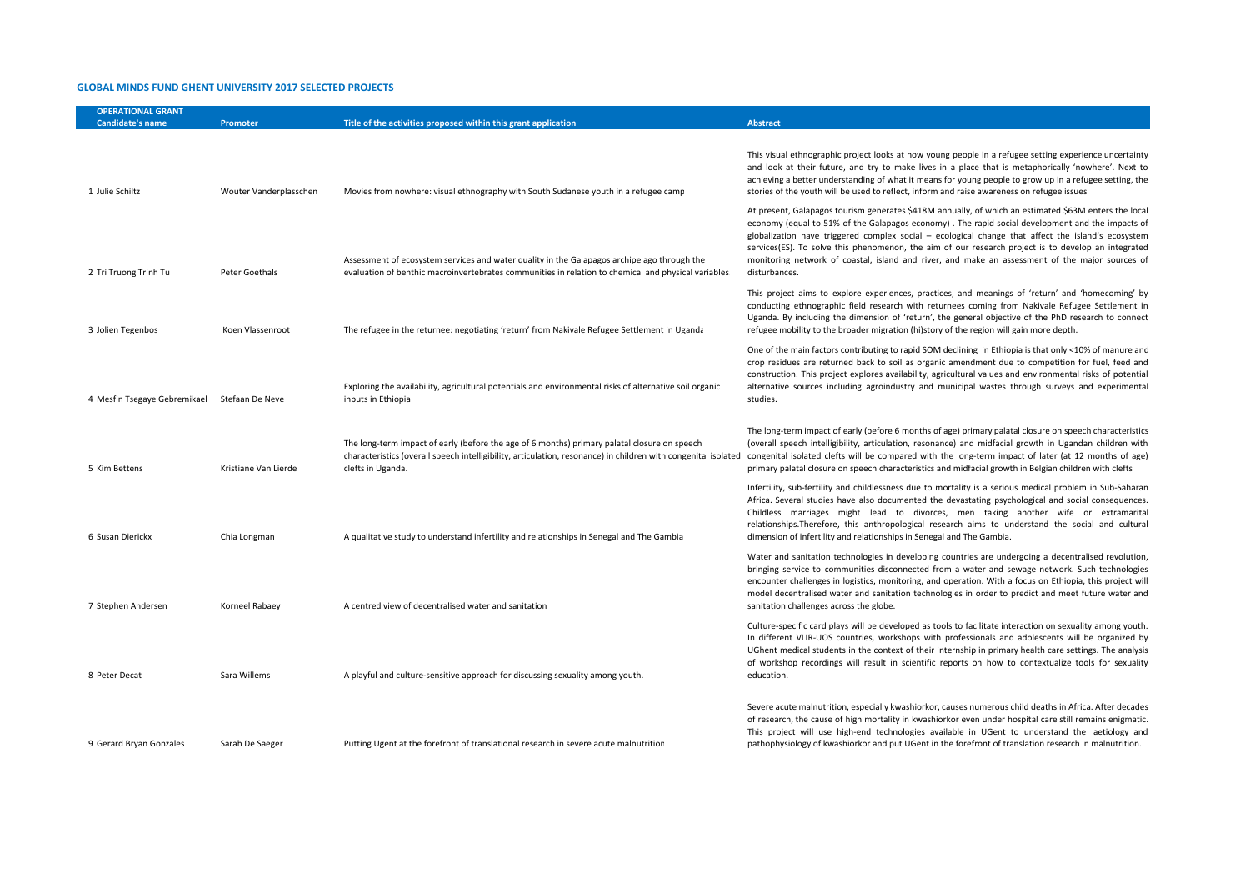## **GLOBAL MINDS FUND GHENT UNIVERSITY 2017 SELECTED PROJECTS**

| <b>OPERATIONAL GRANT</b><br><b>Candidate's name</b> | Promoter               | Title of the activities proposed within this grant application                                                                                                                                                                      | <b>Abstract</b>                                                                                                                                                                                                                                                                                                                                                                                                                                                                                                                            |
|-----------------------------------------------------|------------------------|-------------------------------------------------------------------------------------------------------------------------------------------------------------------------------------------------------------------------------------|--------------------------------------------------------------------------------------------------------------------------------------------------------------------------------------------------------------------------------------------------------------------------------------------------------------------------------------------------------------------------------------------------------------------------------------------------------------------------------------------------------------------------------------------|
|                                                     |                        |                                                                                                                                                                                                                                     |                                                                                                                                                                                                                                                                                                                                                                                                                                                                                                                                            |
| 1 Julie Schiltz                                     | Wouter Vanderplasschen | Movies from nowhere: visual ethnography with South Sudanese youth in a refugee camp                                                                                                                                                 | This visual ethnographic project looks at how young people in a refugee setting experience uncertainty<br>and look at their future, and try to make lives in a place that is metaphorically 'nowhere'. Next to<br>achieving a better understanding of what it means for young people to grow up in a refugee setting, the<br>stories of the youth will be used to reflect, inform and raise awareness on refugee issues.                                                                                                                   |
| 2 Tri Truong Trinh Tu                               | Peter Goethals         | Assessment of ecosystem services and water quality in the Galapagos archipelago through the<br>evaluation of benthic macroinvertebrates communities in relation to chemical and physical variables.                                 | At present, Galapagos tourism generates \$418M annually, of which an estimated \$63M enters the local<br>economy (equal to 51% of the Galapagos economy). The rapid social development and the impacts of<br>globalization have triggered complex social - ecological change that affect the island's ecosystem<br>services(ES). To solve this phenomenon, the aim of our research project is to develop an integrated<br>monitoring network of coastal, island and river, and make an assessment of the major sources of<br>disturbances. |
|                                                     |                        |                                                                                                                                                                                                                                     |                                                                                                                                                                                                                                                                                                                                                                                                                                                                                                                                            |
| 3 Jolien Tegenbos                                   | Koen Vlassenroot       | The refugee in the returnee: negotiating 'return' from Nakivale Refugee Settlement in Uganda                                                                                                                                        | This project aims to explore experiences, practices, and meanings of 'return' and 'homecoming' by<br>conducting ethnographic field research with returnees coming from Nakivale Refugee Settlement in<br>Uganda. By including the dimension of 'return', the general objective of the PhD research to connect<br>refugee mobility to the broader migration (hi)story of the region will gain more depth.                                                                                                                                   |
|                                                     |                        |                                                                                                                                                                                                                                     | One of the main factors contributing to rapid SOM declining in Ethiopia is that only <10% of manure and<br>crop residues are returned back to soil as organic amendment due to competition for fuel, feed and<br>construction. This project explores availability, agricultural values and environmental risks of potential                                                                                                                                                                                                                |
| 4 Mesfin Tsegaye Gebremikael                        | Stefaan De Neve        | Exploring the availability, agricultural potentials and environmental risks of alternative soil organic<br>inputs in Ethiopia                                                                                                       | alternative sources including agroindustry and municipal wastes through surveys and experimental<br>studies.                                                                                                                                                                                                                                                                                                                                                                                                                               |
| 5 Kim Bettens                                       | Kristiane Van Lierde   | The long-term impact of early (before the age of 6 months) primary palatal closure on speech<br>characteristics (overall speech intelligibility, articulation, resonance) in children with congenital isolated<br>clefts in Uganda. | The long-term impact of early (before 6 months of age) primary palatal closure on speech characteristics<br>(overall speech intelligibility, articulation, resonance) and midfacial growth in Ugandan children with<br>congenital isolated clefts will be compared with the long-term impact of later (at 12 months of age)<br>primary palatal closure on speech characteristics and midfacial growth in Belgian children with clefts                                                                                                      |
| 6 Susan Dierickx                                    | Chia Longman           | A qualitative study to understand infertility and relationships in Senegal and The Gambia                                                                                                                                           | Infertility, sub-fertility and childlessness due to mortality is a serious medical problem in Sub-Saharan<br>Africa. Several studies have also documented the devastating psychological and social consequences.<br>Childless marriages might lead to divorces, men taking another wife or extramarital<br>relationships. Therefore, this anthropological research aims to understand the social and cultural<br>dimension of infertility and relationships in Senegal and The Gambia.                                                     |
| 7 Stephen Andersen                                  | Korneel Rabaey         | A centred view of decentralised water and sanitation                                                                                                                                                                                | Water and sanitation technologies in developing countries are undergoing a decentralised revolution,<br>bringing service to communities disconnected from a water and sewage network. Such technologies<br>encounter challenges in logistics, monitoring, and operation. With a focus on Ethiopia, this project will<br>model decentralised water and sanitation technologies in order to predict and meet future water and<br>sanitation challenges across the globe.                                                                     |
| 8 Peter Decat                                       | Sara Willems           | A playful and culture-sensitive approach for discussing sexuality among youth.                                                                                                                                                      | Culture-specific card plays will be developed as tools to facilitate interaction on sexuality among youth.<br>In different VLIR-UOS countries, workshops with professionals and adolescents will be organized by<br>UGhent medical students in the context of their internship in primary health care settings. The analysis<br>of workshop recordings will result in scientific reports on how to contextualize tools for sexuality<br>education.                                                                                         |
| 9 Gerard Bryan Gonzales                             | Sarah De Saeger        | Putting Ugent at the forefront of translational research in severe acute malnutrition                                                                                                                                               | Severe acute malnutrition, especially kwashiorkor, causes numerous child deaths in Africa. After decades<br>of research, the cause of high mortality in kwashiorkor even under hospital care still remains enigmatic.<br>This project will use high-end technologies available in UGent to understand the aetiology and<br>pathophysiology of kwashiorkor and put UGent in the forefront of translation research in malnutrition.                                                                                                          |